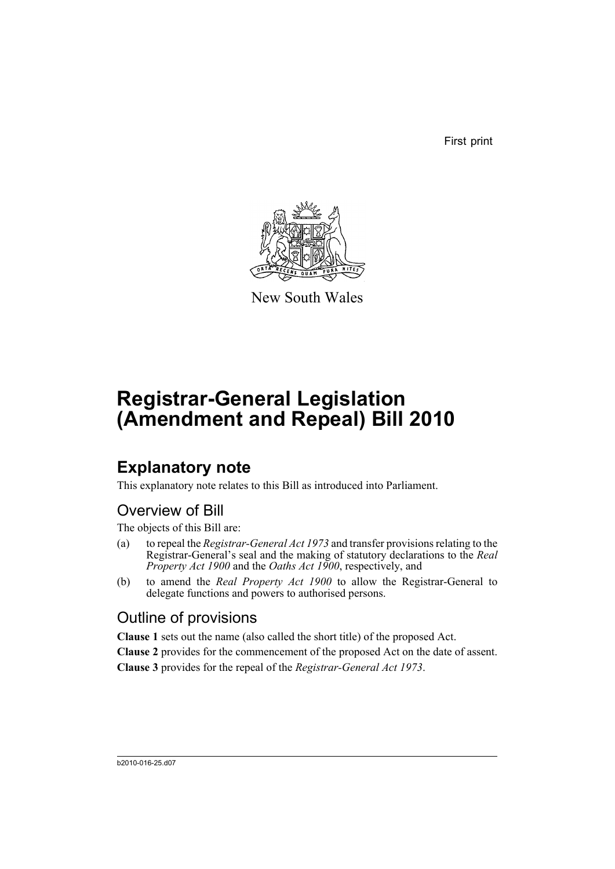First print



New South Wales

# **Registrar-General Legislation (Amendment and Repeal) Bill 2010**

## **Explanatory note**

This explanatory note relates to this Bill as introduced into Parliament.

### Overview of Bill

The objects of this Bill are:

- (a) to repeal the *Registrar-General Act 1973* and transfer provisions relating to the Registrar-General's seal and the making of statutory declarations to the *Real Property Act 1900* and the *Oaths Act 1900*, respectively, and
- (b) to amend the *Real Property Act 1900* to allow the Registrar-General to delegate functions and powers to authorised persons.

### Outline of provisions

**Clause 1** sets out the name (also called the short title) of the proposed Act.

**Clause 2** provides for the commencement of the proposed Act on the date of assent. **Clause 3** provides for the repeal of the *Registrar-General Act 1973*.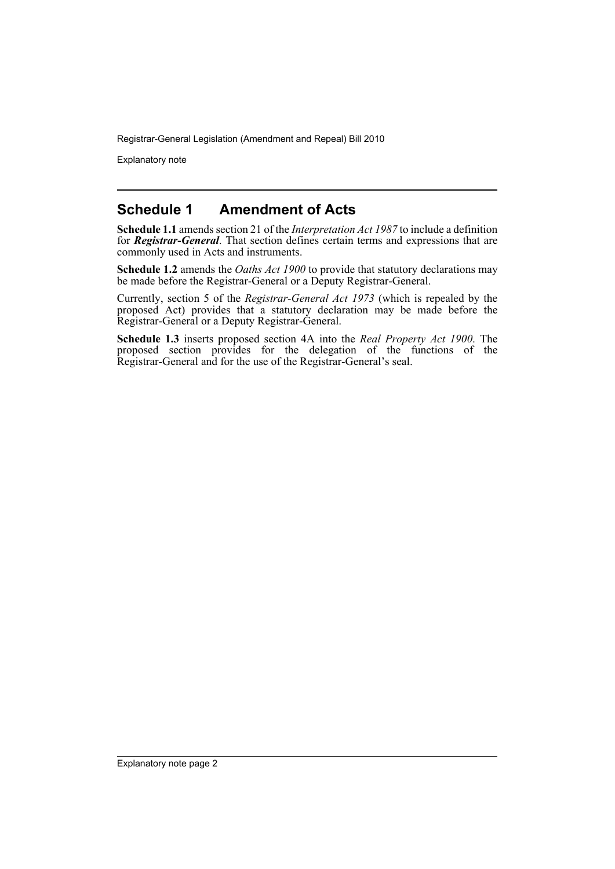Registrar-General Legislation (Amendment and Repeal) Bill 2010

Explanatory note

#### **Schedule 1 Amendment of Acts**

**Schedule 1.1** amends section 21 of the *Interpretation Act 1987* to include a definition for *Registrar-General*. That section defines certain terms and expressions that are commonly used in Acts and instruments.

**Schedule 1.2** amends the *Oaths Act 1900* to provide that statutory declarations may be made before the Registrar-General or a Deputy Registrar-General.

Currently, section 5 of the *Registrar-General Act 1973* (which is repealed by the proposed Act) provides that a statutory declaration may be made before the Registrar-General or a Deputy Registrar-General.

**Schedule 1.3** inserts proposed section 4A into the *Real Property Act 1900*. The proposed section provides for the delegation of the functions of the Registrar-General and for the use of the Registrar-General's seal.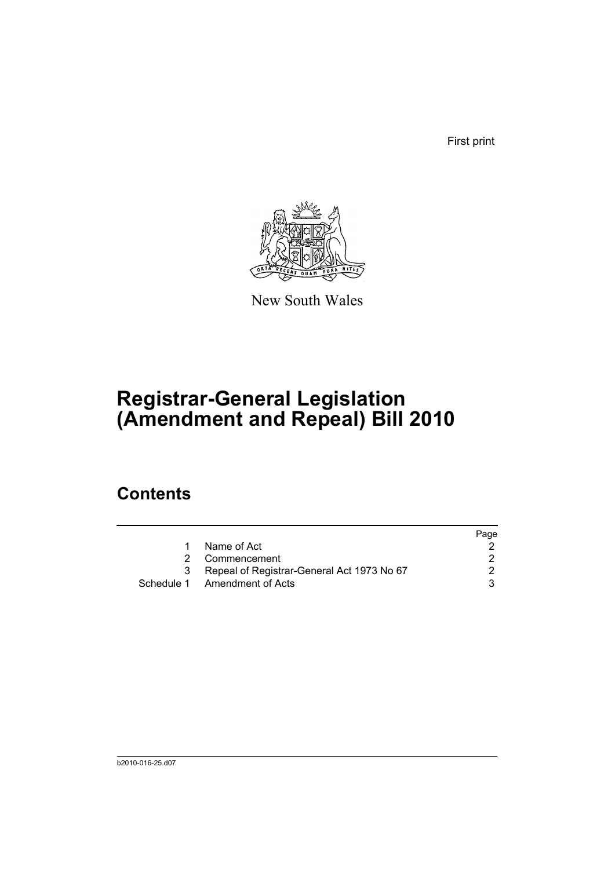First print



New South Wales

# **Registrar-General Legislation (Amendment and Repeal) Bill 2010**

### **Contents**

|   |                                            | Page |
|---|--------------------------------------------|------|
|   | Name of Act                                |      |
| 2 | Commencement                               |      |
| 3 | Repeal of Registrar-General Act 1973 No 67 |      |
|   | Schedule 1 Amendment of Acts               |      |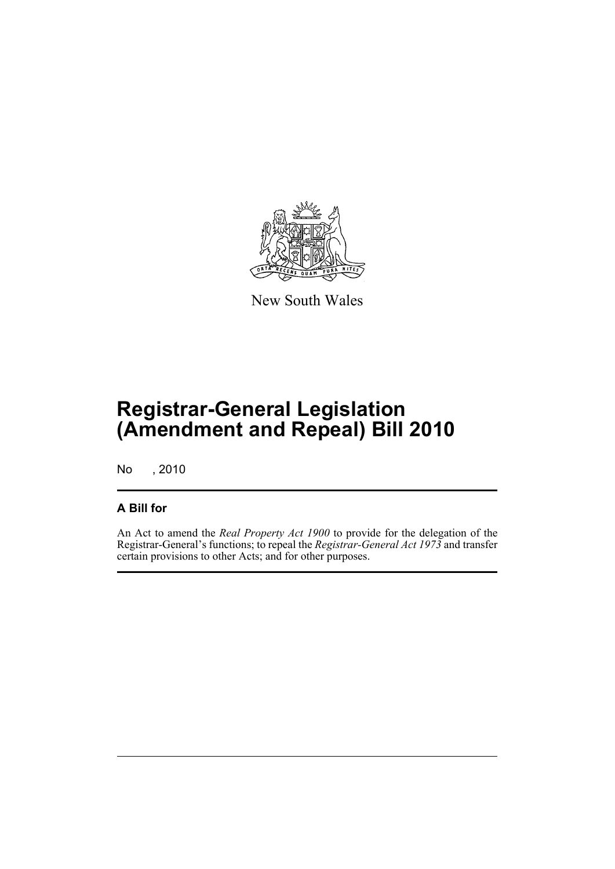

New South Wales

## **Registrar-General Legislation (Amendment and Repeal) Bill 2010**

No , 2010

#### **A Bill for**

An Act to amend the *Real Property Act 1900* to provide for the delegation of the Registrar-General's functions; to repeal the *Registrar-General Act 1973* and transfer certain provisions to other Acts; and for other purposes.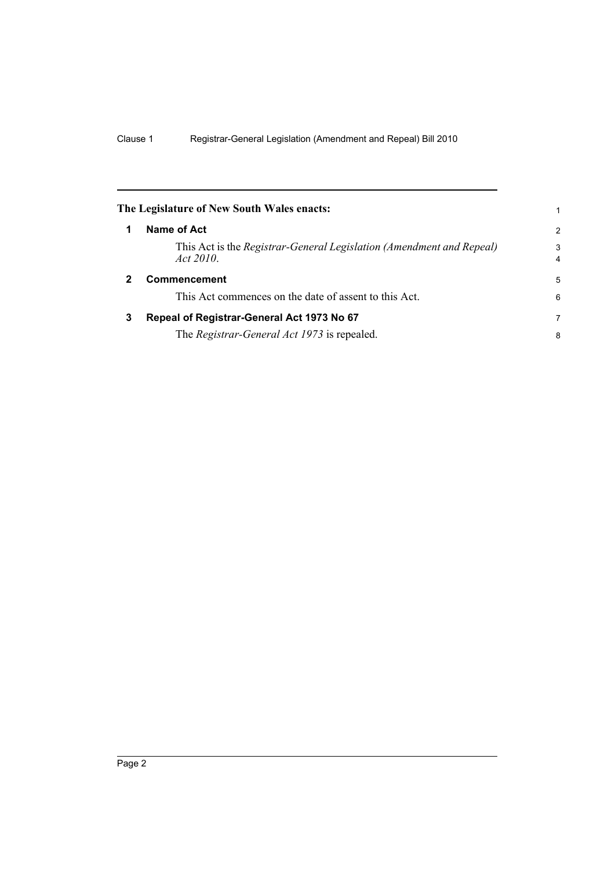<span id="page-5-2"></span><span id="page-5-1"></span><span id="page-5-0"></span>

|   | The Legislature of New South Wales enacts:                                        | 1              |
|---|-----------------------------------------------------------------------------------|----------------|
|   | Name of Act                                                                       | $\overline{2}$ |
|   | This Act is the Registrar-General Legislation (Amendment and Repeal)<br>Act 2010. | 3              |
|   | <b>Commencement</b>                                                               | 5              |
|   | This Act commences on the date of assent to this Act.                             | 6              |
| 3 | Repeal of Registrar-General Act 1973 No 67                                        | 7              |
|   | The Registrar-General Act 1973 is repealed.                                       | 8              |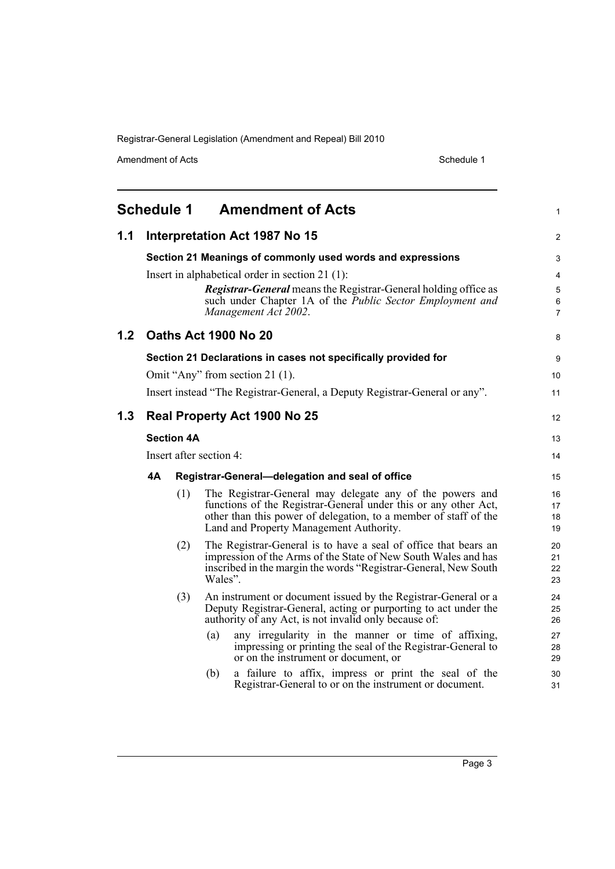Registrar-General Legislation (Amendment and Repeal) Bill 2010

Amendment of Acts Schedule 1

<span id="page-6-0"></span>

| <b>Schedule 1</b><br><b>Amendment of Acts</b><br>1 |                   |     |                                                                                                                                                                                                                                            |                      |
|----------------------------------------------------|-------------------|-----|--------------------------------------------------------------------------------------------------------------------------------------------------------------------------------------------------------------------------------------------|----------------------|
| 1.1                                                |                   |     | Interpretation Act 1987 No 15                                                                                                                                                                                                              | 2                    |
|                                                    |                   |     | Section 21 Meanings of commonly used words and expressions                                                                                                                                                                                 | 3                    |
|                                                    |                   |     | Insert in alphabetical order in section $21(1)$ :<br><b>Registrar-General</b> means the Registrar-General holding office as                                                                                                                | 4<br>5               |
|                                                    |                   |     | such under Chapter 1A of the <i>Public Sector Employment and</i><br>Management Act 2002.                                                                                                                                                   | 6<br>7               |
| 1.2                                                |                   |     | <b>Oaths Act 1900 No 20</b>                                                                                                                                                                                                                | 8                    |
|                                                    |                   |     | Section 21 Declarations in cases not specifically provided for                                                                                                                                                                             | 9                    |
|                                                    |                   |     | Omit "Any" from section 21 (1).                                                                                                                                                                                                            | 10                   |
|                                                    |                   |     | Insert instead "The Registrar-General, a Deputy Registrar-General or any".                                                                                                                                                                 | 11                   |
| 1.3                                                |                   |     | <b>Real Property Act 1900 No 25</b>                                                                                                                                                                                                        | 12                   |
|                                                    | <b>Section 4A</b> |     | 13                                                                                                                                                                                                                                         |                      |
|                                                    |                   |     | Insert after section 4:                                                                                                                                                                                                                    | 14                   |
|                                                    | 4А                |     | Registrar-General-delegation and seal of office                                                                                                                                                                                            | 15                   |
|                                                    |                   | (1) | The Registrar-General may delegate any of the powers and<br>functions of the Registrar-General under this or any other Act,<br>other than this power of delegation, to a member of staff of the<br>Land and Property Management Authority. | 16<br>17<br>18<br>19 |
|                                                    |                   | (2) | The Registrar-General is to have a seal of office that bears an<br>impression of the Arms of the State of New South Wales and has<br>inscribed in the margin the words "Registrar-General, New South<br>Wales".                            | 20<br>21<br>22<br>23 |
|                                                    |                   | (3) | An instrument or document issued by the Registrar-General or a<br>Deputy Registrar-General, acting or purporting to act under the<br>authority of any Act, is not invalid only because of:                                                 | 24<br>25<br>26       |
|                                                    |                   |     | any irregularity in the manner or time of affixing,<br>(a)<br>impressing or printing the seal of the Registrar-General to<br>or on the instrument or document, or                                                                          | 27<br>28<br>29       |
|                                                    |                   |     | a failure to affix, impress or print the seal of the<br>(b)<br>Registrar-General to or on the instrument or document.                                                                                                                      | 30<br>31             |